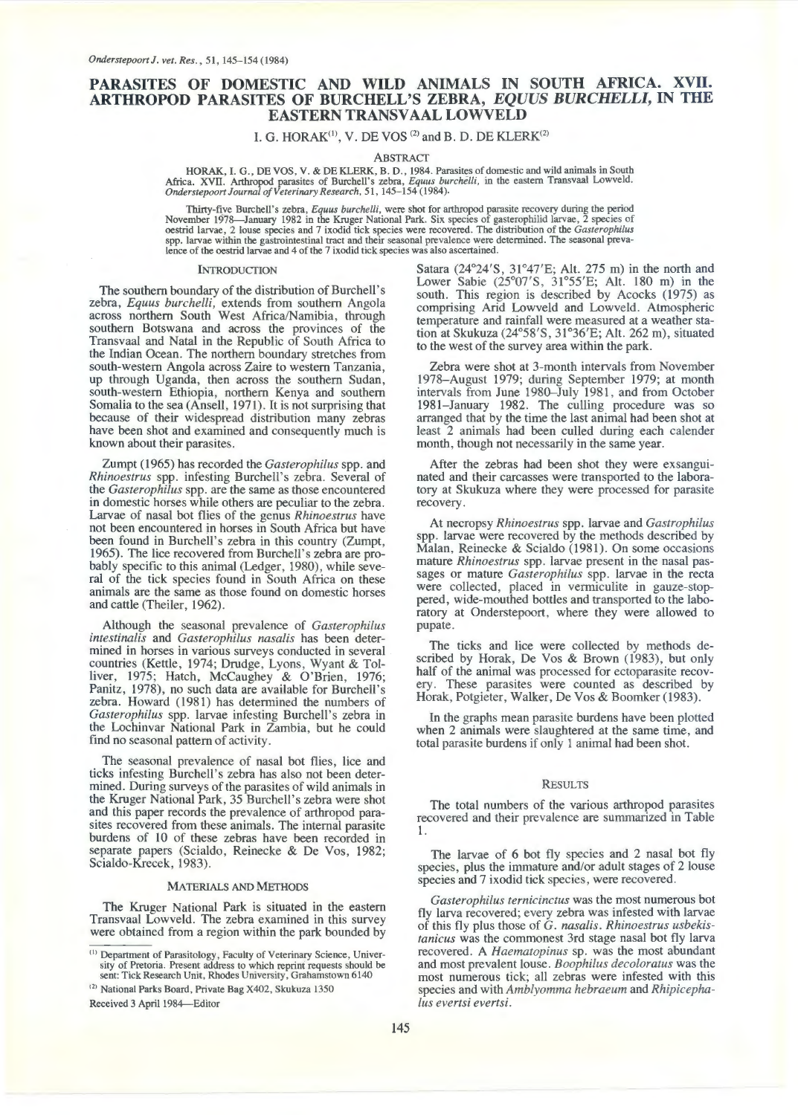# **PARASITES OF DOMESTIC AND WILD ANIMALS IN SOUTH AFRICA. XVII. ARTHROPOD PARASITES OF BURCHELL'S ZEBRA,** *EQUUS BURCHELL/,* **IN THE EASTERN TRANSVAAL LOWVELD**

I. G. HORA $K^{(1)}$ , V. DE VOS  $^{(2)}$  and B. D. DE KLER $K^{(2)}$ 

ABSTRACT

HORAK, I. G., DE VOS, V. & DE KLERK, B. D., 1984. Parasites of domestic and wild animals in South Africa. XVII. Arthropod parasites of Burchell's zebra, *Equus burchelli*, in the eastern Transvaal Lowveld. Onderstepoort Jo

Thirty-five Burchell's zebra, *Equus burchelli*, were shot for arthropod parasite recovery during the period November 1978—January 1982 in the Kruger National Park. Six species of gasterophilid larvae, 2 species of oestrid larvae, 2 louse species and 7 ixodid tick species were recovered. The distribution of the *Gasterophilus* sp

#### **INTRODUCTION**

The southern boundary of the distribution of Burchell's zebra, *Equus burchelli,* extends from southern Angola across northern South West Africa/Namibia, through southern Botswana and across the provinces of the Transvaal and Natal in the Republic of South Africa to the Indian Ocean. The northern boundary stretches from south-western Angola across Zaire to western Tanzania, up through Uganda, then across the southern Sudan, south-western Ethiopia, northern Kenya and southern Somalia to the sea (Ansell, 1971). It is not surprising that because of their widespread distribution many zebras have been shot and examined and consequently much is known about their parasites.

Zumpt (1965) has recorded the *Gasterophilus* spp. and *Rhinoestrus* spp. infesting Burchell's zebra. Several of the *Gasterophilus* spp. are the same as those encountered in domestic horses while others are peculiar to the zebra. Larvae of nasal bot flies of the genus *Rhinoestrus* have not been encountered in horses in South Africa but have been found in Burchell's zebra in this country (Zumpt, 1965). The lice recovered from Burchell's zebra are probably specific to this animal (Ledger, 1980), while several of the tick species found in South Africa on these animals are the same as those found on domestic horses and cattle (Theiler, 1962).

Although the seasonal prevalence of *Gasterophilus intestinalis* and *Gasterophilus nasalis* has been determined in horses in various surveys conducted in several countries (Kettle, 1974; Drudge, Lyons, Wyant & Tolliver, 1975; Hatch, McCaughey & O'Brien, 1976; Panitz, 1978), no such data are available for Burchell's zebra. Howard (1981) has determined the numbers of *Gasterophilus* spp. larvae infesting Burchell's zebra in the Lochinvar National Park in Zambia, but he could find no seasonal pattern of activity.

The seasonal prevalence of nasal bot flies, lice and ticks infesting Burchell's zebra has also not been determined. During surveys of the parasites of wild animals in the Kruger National Park, 35 Burchell's zebra were shot and this paper records the prevalence of arthropod parasites recovered from these animals. The internal parasite burdens of 10 of these zebras have been recorded in separate papers (Scialdo, Reinecke & De Vos, 1982; Scialdo-Krecek, 1983).

# MATERIALS AND METHODS

The Kruger National Park is situated in the eastern Transvaal Lowveld. The zebra examined in this survey were obtained from a region within the park bounded by

<sup>(2)</sup> National Parks Board, Private Bag X402, Skukuza 1350

Received 3 April 1984-Editor

Satara (24°24'S, 31°47'E; Alt. 275m) in the north and Lower Sabie (25°07'S, 31°55'E; Alt. 180 m) in the south. This region is described by Acocks (1975) as comprising Arid Lowveld and Lowveld. Atmospheric temperature and rainfall were measured at a weather station at Skukuza (24°58'S, 31°36'E; Alt. 262m), situated to the west of the survey area within the park.

Zebra were shot at 3-month intervals from November 1978-August 1979; during September 1979; at month intervals from June 1980-July 1981, and from October 1981-January 1982. The culling procedure was so arranged that by the time the last animal had been shot at least 2 animals had been culled during each calender month, though not necessarily in the same year.

After the zebras had been shot they were exsanguinated and their carcasses were transported to the laboratory at Skukuza where they were processed for parasite recovery.

At necropsy *Rhinoestrus* spp. larvae and *Gastrophilus*  spp. larvae were recovered by the methods described by Malan, Reinecke & Scialdo (1981). On some occasions mature *Rhinoestrus* spp. larvae present in the nasal passages or mature *Gasterophilus* spp. larvae in the recta were collected, placed in vermiculite in gauze-stoppered, wide-mouthed bottles and transported to the laboratory at Onderstepoort, where they were allowed to pupate.

The ticks and lice were collected by methods described by Horak, De Vos & Brown (1983), but only half of the animal was processed for ectoparasite recovery. These parasites were counted as described by Horak, Potgieter, Walker, De Vos & Boomker (1983).

In the graphs mean parasite burdens have been plotted when 2 animals were slaughtered at the same time, and total parasite burdens if only 1 animal had been shot.

## **RESULTS**

The total numbers of the various arthropod parasites recovered and their prevalence are summarized in Table l.

The larvae of 6 bot fly species and 2 nasal bot fly species, plus the immature and/or adult stages of 2 louse species and 7 ixodid tick species, were recovered.

*Gasterophilus ternicinctus* was the most numerous bot fly larva recovered; every zebra was infested with larvae of this fly plus those of G. *nasalis. Rhinoestrus usbekistanicus* was the commonest 3rd stage nasal bot fly larva recovered. A *Haematopinus* sp. was the most abundant and most prevalent louse. *Boophilus decoloratus* was the most numerous tick; all zebras were infested with this species and with *Amblyomma hebraeum* and *Rhipicephalus evertsi evertsi.* 

<sup>&</sup>lt;sup>(1)</sup> Department of Parasitology, Faculty of Veterinary Science, University of Pretoria. Present address to which reprint requests should be sent: Tick Research Unit, Rhodes University, Grahamstown 6140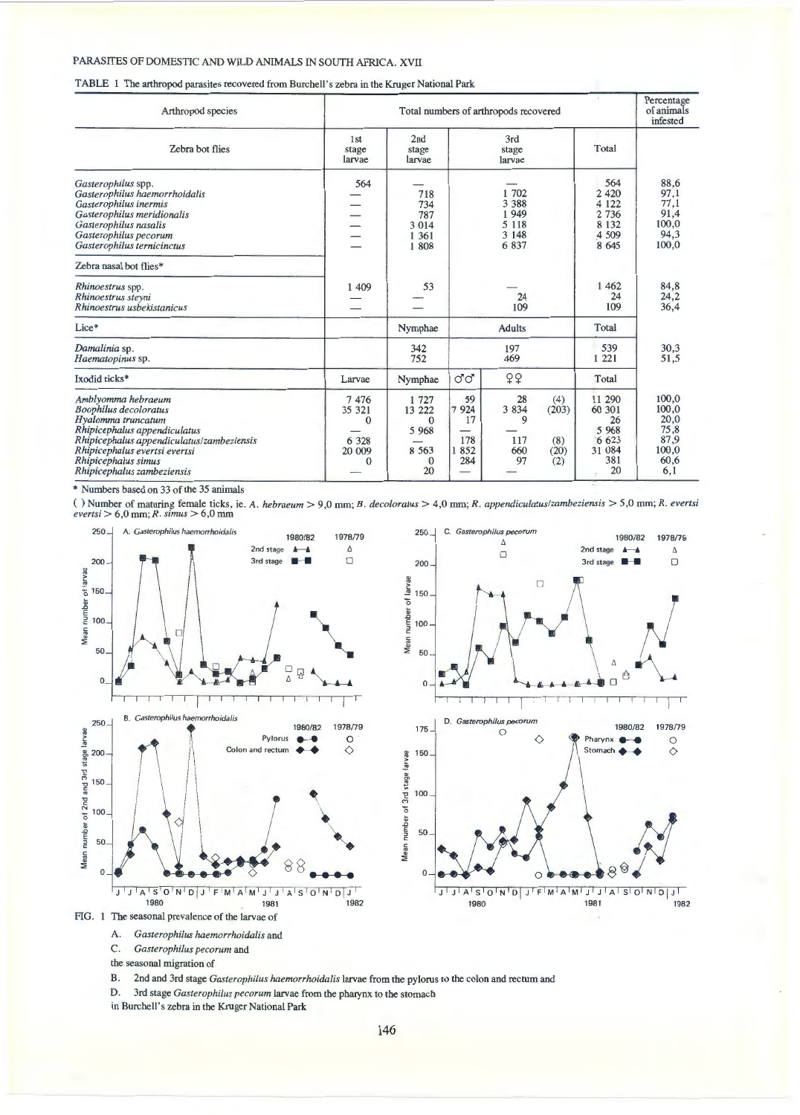# TABLE **1** The arthropod parasites recovered from Burchell's zebra in the Kruger National Park

| Arthropod species                                                                                                                                                                                                                           |                                                             |                                                                     |                                           | Total numbers of arthropods recovered                  |                                    |                                                                       | Percentage<br>of animals<br>infested                           |
|---------------------------------------------------------------------------------------------------------------------------------------------------------------------------------------------------------------------------------------------|-------------------------------------------------------------|---------------------------------------------------------------------|-------------------------------------------|--------------------------------------------------------|------------------------------------|-----------------------------------------------------------------------|----------------------------------------------------------------|
| Zebra bot flies                                                                                                                                                                                                                             | 1st<br>stage<br>larvae                                      | 2nd<br>stage<br>larvae                                              |                                           | 3rd<br>stage<br>larvae                                 |                                    | Total                                                                 |                                                                |
| Gasterophilus spp.<br>Gasterophilus haemorrhoidalis<br>Gasterophilus inermis<br>Gasterophilus meridionalis<br>Gasterophilus nasalis<br>Gasterophilus pecorum<br>Gasterophilus ternicinctus                                                  | 564                                                         | 718<br>734<br>787<br>3 0 1 4<br>1 3 6 1<br>1808                     |                                           | 1 702<br>3 3 8 8<br>1949<br>5 1 1 8<br>3 1 4 8<br>6837 |                                    | 564<br>2 4 2 0<br>4 1 2 2<br>2 7 3 6<br>8 1 3 2<br>4 5 0 9<br>8 6 4 5 | 88,6<br>97,1<br>77,1<br>91,4<br>100,0<br>94,3<br>100,0         |
| Zebra nasal bot flies*                                                                                                                                                                                                                      |                                                             |                                                                     |                                           |                                                        |                                    |                                                                       |                                                                |
| Rhinoestrus spp.<br>Rhinoestrus steyni<br>Rhinoestrus usbekistanicus                                                                                                                                                                        | 1 409                                                       | 53                                                                  |                                           | 24<br>109                                              |                                    | 1 4 6 2<br>24<br>109                                                  | 84,8<br>24,2<br>36,4                                           |
| Lice*                                                                                                                                                                                                                                       |                                                             | Nymphae                                                             |                                           | <b>Adults</b>                                          |                                    | Total                                                                 |                                                                |
| Damalinia sp.<br>Haematopinus sp.                                                                                                                                                                                                           |                                                             | 342<br>752                                                          |                                           | 197<br>469                                             |                                    | 539<br>1 2 2 1                                                        | 30,3<br>51,5                                                   |
| Ixodid ticks*                                                                                                                                                                                                                               | Larvae                                                      | Nymphae                                                             | ೆ ೆ                                       | 99                                                     |                                    | Total                                                                 |                                                                |
| Amblyomma hebraeum<br><b>Boophilus</b> decoloratus<br>Hyalomma truncatum<br>Rhipicephalus appendiculatus<br>Rhipicephalus appendiculatus/zambeziensis<br>Rhipicephalus evertsi evertsi<br>Rhipicephalus simus<br>Rhipicephalus zambeziensis | 7476<br>35 321<br>$\Omega$<br>6 3 2 8<br>20 009<br>$\Omega$ | 1 727<br>13 222<br>$\Omega$<br>5 9 6 8<br>8 5 6 3<br>$\theta$<br>20 | 59<br>7<br>924<br>17<br>178<br>852<br>284 | 28<br>3 8 3 4<br>9<br>117<br>660<br>97                 | (4)<br>(203)<br>(8)<br>(20)<br>(2) | 11 290<br>60 301<br>26<br>5 9 6 8<br>6623<br>31 084<br>381<br>20      | 100,0<br>100,0<br>20,0<br>75,8<br>87,9<br>100,0<br>60,6<br>6,1 |

\* Numbers based on 33 of the 35 ammals

( ) Number of maturing female ticks, ie. *A. hebraeum* > 9,0 mm; *B. decoloratus* > 4,0 mm; *R. appendiculatuslzambeziensis* > 5,0 mm; *R. evertsi evertsi* > 6,0 mm; *R. simus* > 6,0 mm





A. *Gasterophilus haemorrhoidalis* and

C. *Gasterophilus pecorum* and

the seasonal migration of

B. 2nd and 3rd stage *Gasterophilus haemorrhoidalis* larvae from the pylorus to the colon and rectum and

D. 3rd stage *Gasterophilus pecorum* larvae from the pharynx to the stomach

in Burchell's zebra in the Kruger National Park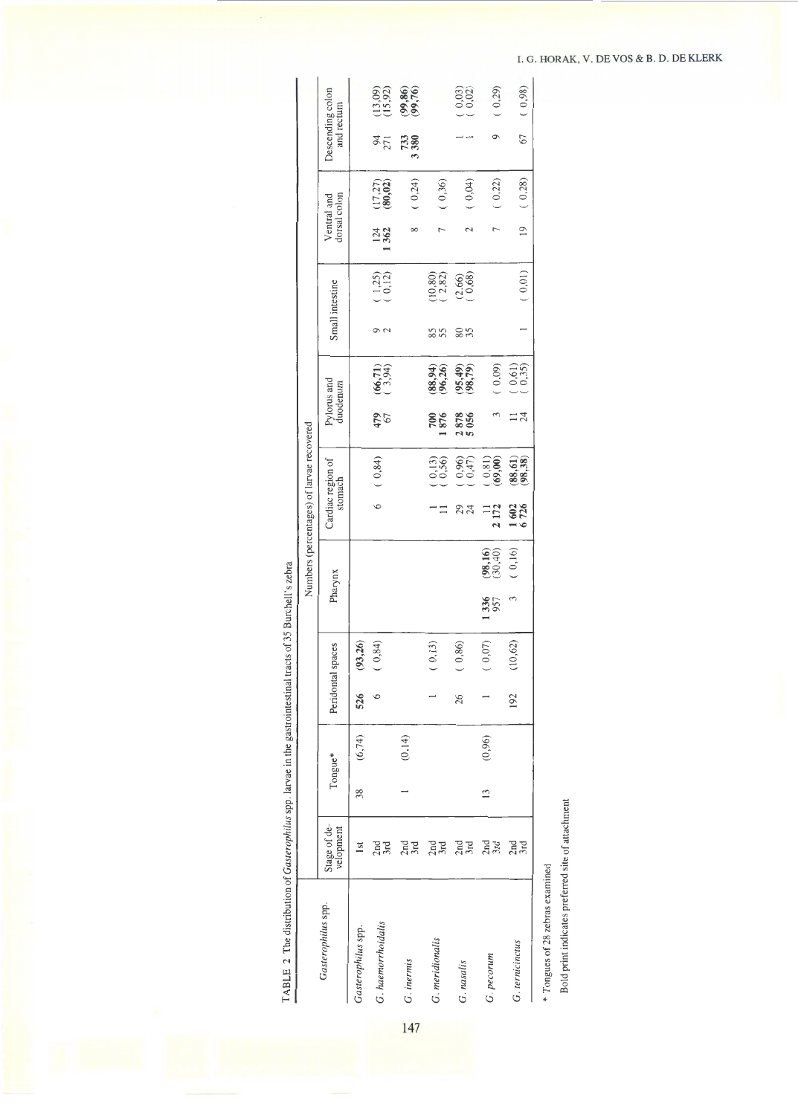| $\frac{3}{2}$<br>ć<br>j<br>l             |  |
|------------------------------------------|--|
| ï                                        |  |
|                                          |  |
|                                          |  |
| ا<br>ī                                   |  |
| I                                        |  |
|                                          |  |
| I<br>l<br>;<br>l<br>$\ddot{\phantom{a}}$ |  |
| ۱<br>l                                   |  |

|                    |                           |               |         |     |                   |             |                        | Numbers (percentages) of larvae recovered |                                             |                         |                          |                 |                         |                             |                          |                                |                          |
|--------------------|---------------------------|---------------|---------|-----|-------------------|-------------|------------------------|-------------------------------------------|---------------------------------------------|-------------------------|--------------------------|-----------------|-------------------------|-----------------------------|--------------------------|--------------------------------|--------------------------|
| Gasterophilus spp. | Stage of de-<br>velopment |               | Tongue* |     | Peridontal spaces |             | Pharynx                | Cardiac region of<br>stomach              |                                             | Pylorus and<br>duodenum |                          |                 | Small intestine         | dorsal colon<br>Ventral and |                          | Descending colon<br>and rectum |                          |
| Gasterophilus spp. | $\overline{\mathbf{sl}}$  | 38            | (6, 74) | 526 | (93, 26)          |             |                        |                                           |                                             |                         |                          |                 |                         |                             |                          |                                |                          |
| G. haemorrhoidalis | $2nd$<br>$3rd$            |               |         | 6   | (0, 84)           |             |                        | 6                                         | (0, 84)                                     | 479<br>67               | $(66, 71)$<br>$(3, 94)$  | $\sigma$ $\sim$ | $\binom{1,25}{0,12}$    | 124<br>1362                 | $(17, 27)$<br>$(80, 02)$ | $\frac{94}{271}$               | $(13,09)$<br>$(15,92)$   |
| G. inermis         | $2nd$<br>$3rd$            |               | (0, 14) |     |                   |             |                        |                                           |                                             |                         |                          |                 |                         | $\infty$                    | (0,24)                   | 3 380<br>733                   | $(99, 86)$<br>$(99, 76)$ |
| G. meridionalis    | $2nd$<br>3rd              |               |         |     | (0,13)            |             |                        | $\equiv$                                  | (0,13)                                      | 700<br>876              | $(88, 94)$<br>$(96, 26)$ | 85<br>55        | $(10, 80)$<br>$(2, 82)$ |                             | (0,36)                   |                                |                          |
| G. nasalis         | $2nd$<br>3rd              |               |         | 26  | (0, 86)           |             |                        | 23<br>24                                  | $\begin{array}{c} 0,96 \\ 0,47 \end{array}$ | 2878<br>5056            | $(95, 49)$<br>$(98, 79)$ | 85              | $(2,66)$<br>$(0,68)$    | $\sim$                      | (0,04)                   |                                | $\binom{0,03}{0,02}$     |
| G. pecorum         | $2nd$<br>$3rd$            | $\frac{3}{2}$ | (0,96)  |     | (0,07)            | 1336<br>957 | $(98,16)$<br>$(30,40)$ | 2 172<br>$\equiv$                         | (0, 81)<br>(69, 00)                         |                         | (0,09)                   |                 |                         |                             | (0,22)                   |                                | (0, 29)                  |
| G. ternicinctus    | $2nd$<br>$3rd$            |               |         | 192 | (10, 62)          |             | (0, 16)                | 1602<br>6726                              | (98, 38)<br>(88, 61)                        | 24                      | $\binom{0,61}{0,35}$     |                 | (0,01)                  | $\overline{19}$             | (0, 28)                  | 67                             | (0,98)                   |

147

Bold print indicates preferred site of attachment Bold print indicates preferred site of attachment

<sup>\*</sup> Tongues of 28 zebras examined \* Tongues of 28 zebras examined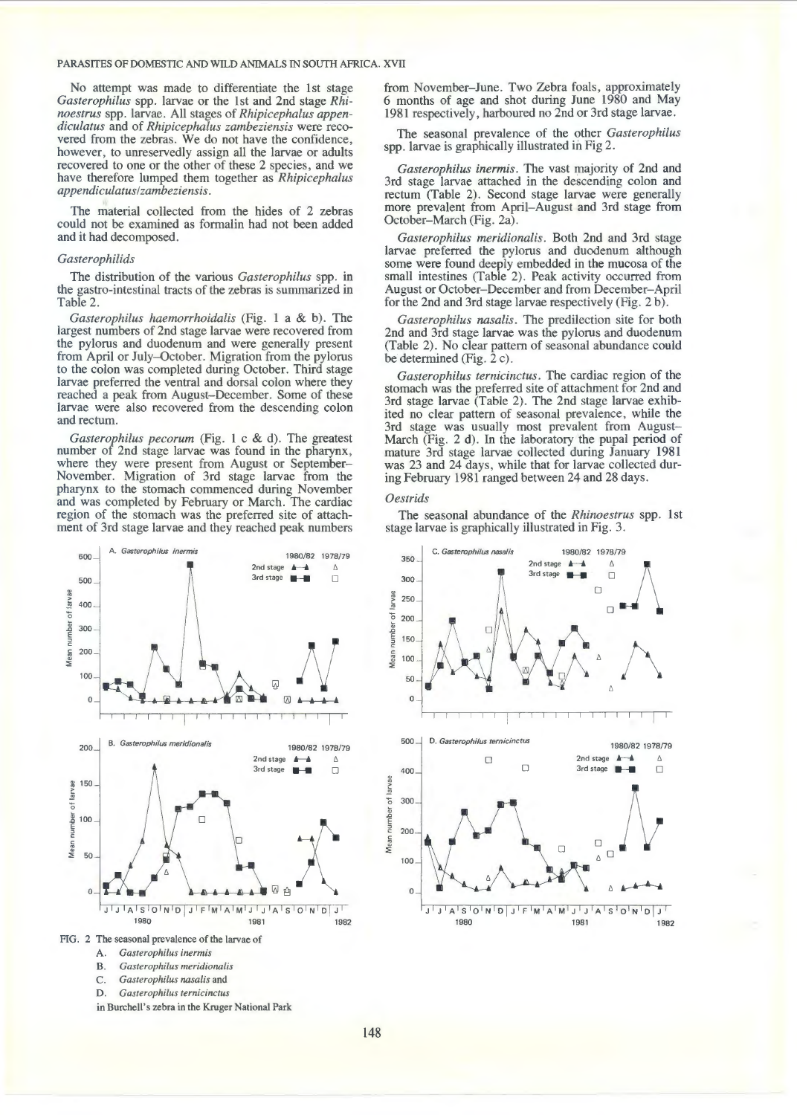No attempt was made to differentiate the 1st stage *Gasterophilus* spp. larvae or the 1st and 2nd stage *Rhinoestrus* spp. larvae. All stages of *Rhipicephalus appendiculatus* and of *Rhipicephalus zambeziensis* were recovered from the zebras. We do not have the confidence, however, to unreservedly assign all the larvae or adults recovered to one or the other of these 2 species, and we have therefore lumped them together as *Rhipicephalus appendiculatus!zambeziensis.* 

The material collected from the hides of 2 zebras could not be examined as formalin had not been added and it had decomposed.

#### *Gasterophilids*

The distribution of the various *Gasterophilus* spp. in the gastro-intestinal tracts of the zebras is summarized in Table 2.

*Gasterophilus haemorrhoidalis* (Fig. 1 a & b). The largest numbers of 2nd stage larvae were recovered from the pylorus and duodenum and were generally present from April or July-October. Migration from the pylorus to the colon was completed during October. Third stage larvae preferred the ventral and dorsal colon where they reached a peak from August-December. Some of these larvae were also recovered from the descending colon and rectum.

*Gasterophilus pecorum* (Fig. 1 c & d). The greatest number of 2nd stage larvae was found in the pharynx, where they were present from August or September-November. Migration of 3rd stage larvae from the pharynx to the stomach commenced during November and was completed by February or March. The cardiac region of the stomach was the preferred site of attachment of 3rd stage larvae and they reached peak numbers



A. *Gasterophilus inermis* 

- B. *Gasterophilus meridionalis*
- C. *Gasterophilus nasalis* and

D. *Gasterophilus ternicinctus* 

in Burchell's zebra in the Kruger National Park

from November-June. Two Zebra foals, approximately 6 months of age and shot during June 1980 and May 1981 respectively, harboured no 2nd or 3rd stage larvae.

The seasonal prevalence of the other *Gasterophilus*  spp. larvae is graphically illustrated in Fig 2.

*Gasterophilus inermis.* The vast majority of 2nd and 3rd stage larvae attached in the descending colon and rectum (Table 2). Second stage larvae were generally more prevalent from April-August and 3rd stage from October-March (Fig. 2a).

*Gasterophilus meridiana/is.* Both 2nd and 3rd stage larvae preferred the pylorus and duodenum although some were found deeply embedded in the mucosa of the small intestines (Table 2). Peak activity occurred from August or October-December and from December-April for the 2nd and 3rd stage larvae respectively (Fig. 2 b).

*Gasterophilus nasalis.* The predilection site for both 2nd and 3rd stage larvae was the pylorus and duodenum (Table 2). No clear pattern of seasonal abundance could be determined (Fig.  $2 c$ ).

*Gasterophilus ternicinctus.* The cardiac region of the stomach was the preferred site of attachment for 2nd and 3rd stage larvae (Table 2). The 2nd stage larvae exhibited no clear pattern of seasonal prevalence, while the 3rd stage was usually most prevalent from August-March (Fig. 2 d). In the laboratory the pupal period of mature 3rd stage larvae collected during January 1981 was 23 and 24 days, while that for larvae collected during February 1981 ranged between 24 and 28 days.

#### *Oestrids*

The seasonal abundance of the *Rhinoestrus* spp. 1st stage larvae is graphically illustrated in Fig. 3.

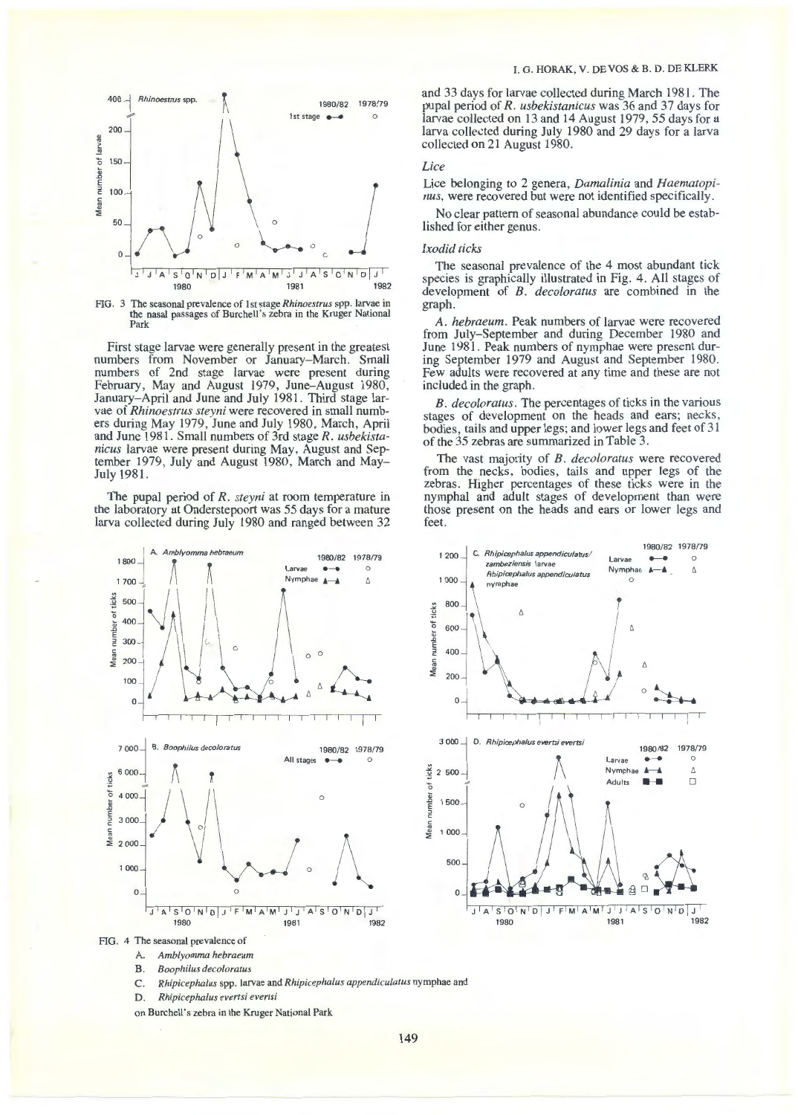

FIG. 3 The seasonal prevalence of 1st stage *Rhinoestrus* spp. larvae in the nasal passages of Burchell's zebra in the Kruger National Park

First stage larvae were generally present in the greatest numbers from November or January-March. Small numbers of 2nd stage larvae were present during February, May and August 1979, June-August 1980, January-April and June and July 1981. Third stage larvae of *Rhinoestrus steyni* were recovered in small numbers during May 1979, June and July 1980, March, April and June 1981. Small numbers of 3rd stage R. usbekista*nicus* larvae were present during May, August and September 1979, July and August 1980, March and May-July 1981.

The pupal period of *R. steyni* at room temperature in the laboratory at Onderstepoort was 55 days for a mature larva collected during July 1980 and ranged between 32



and 33 days for larvae collected during March 1981. The pupal period of *R. usbekistanicus* was 36 and 37 days for larvae collected on 13 and 14 August 1979, 55 days for a larva collected during July 1980 and 29 days for a larva collected on 21 August 1980.

# *Lice*

Lice belonging to 2 genera, *Damalinia* and *Haematopinus,* were recovered but were not identified specifically.

No clear pattern of seasonal abundance could be established for either genus.

# *Ixodid ticks*

The seasonal prevalence of the 4 most abundant tick species is graphically illustrated in Fig. 4. All stages of development of *B. decoloratus* are combined in the graph.

*A. hebraeum.* Peak numbers of larvae were recovered from July-September and during December 1980 and June 1981. Peak numbers of nymphae were present during September 1979 and August and September 1980. Few adults were recovered at any time and these are not included in the graph.

*B. decoloratus.* The percentages of ticks in the various stages of development on the heads and ears; necks, bodies, tails and upper legs; and lower legs and feet of 31 of the 35 zebras are summarized in Table 3.

The vast majority of *B. decoloratus* were recovered from the necks, bodies, tails and upper legs of the zebras. Higher percentages of these ticks were in the nymphal and adult stages of development than were those present on the heads and ears or lower legs and feet.



FIG. 4 The seasonal prevalence of

- A. *Amblyomma hebraeum*
- B. *Boophilus decoloratus*
- C. *Rhipicephalus* spp. larvae and *Rhipicephalus appendiculatus* nymphae and
- D. *Rhipicephalus evertsi evertsi*
- on Burchell's zebra in the Kruger National Park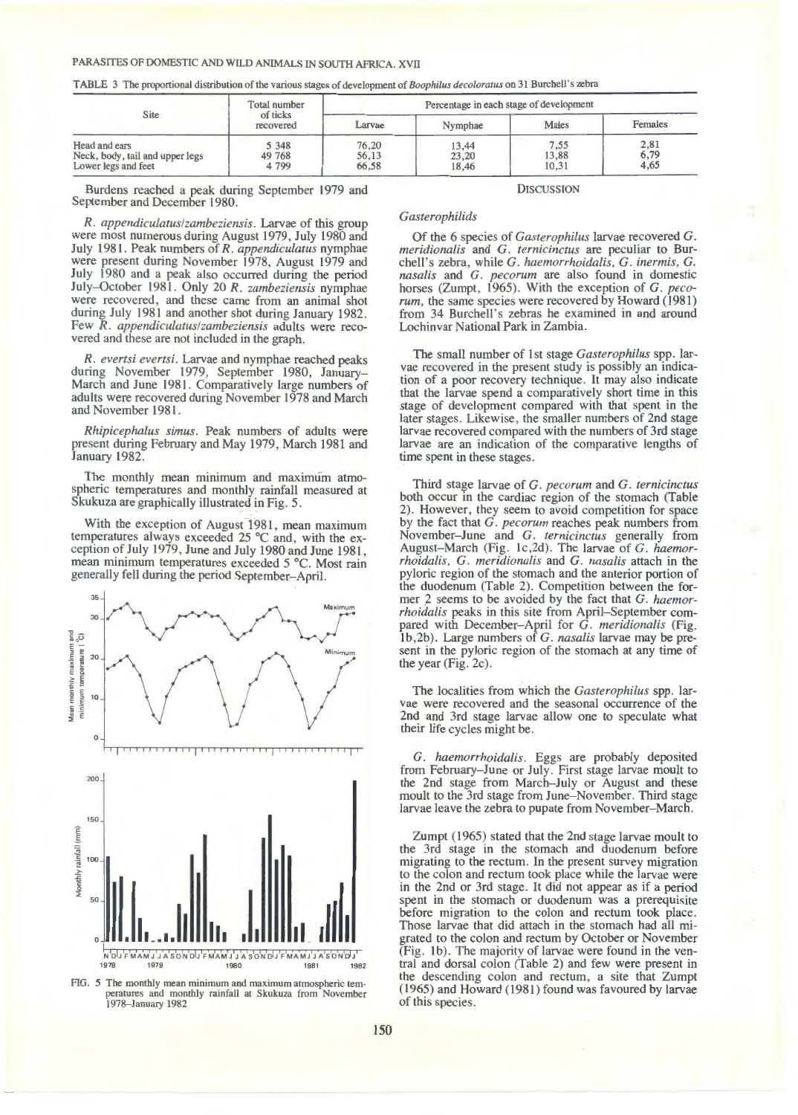TABLE 3 The proportional distribution of the various stages of development of *Boophilus deco/oratus* on 31 Burchell's zebra

|                                                                         | Total number                 |                         | Percentage in each stage of development |                        |                      |
|-------------------------------------------------------------------------|------------------------------|-------------------------|-----------------------------------------|------------------------|----------------------|
| Site                                                                    | of ticks<br>recovered        | Larvae                  | Nymphae                                 | Males                  | Females              |
| Head and ears<br>Neck, body, tail and upper legs<br>Lower legs and feet | 5 3 4 8<br>49 768<br>4 7 9 9 | 76,20<br>56,13<br>66,58 | 13,44<br>23,20<br>18.46                 | 7,55<br>13,88<br>10,31 | 2,81<br>6,79<br>4,65 |

Burdens reached a peak during September 1979 and September and December 1980.

*R. appendiculatus!zambeziensis.* Larvae of this group were most numerous during August 1979, July 1980 and July 1981. Peak numbers of *R. appendiculatus* nymphae were present during November 1978, August 1979 and July 1980 and a peak also occurred during the period July-October 1981. Only 20 *R. zambeziensis* nymphae were recovered, and these came from an animal shot during July 1981 and another shot during January 1982. Few *R. appendiculatus!zambeziensis* adults were recovered and these are not included in the graph.

*R. evertsi evertsi.* Larvae and nymphae reached peaks during November 1979, September 1980, January-March and June 1981. Comparatively large numbers of adults were recovered during November 1978 and March and November 1981 .

*Rhipicephalus simus.* Peak numbers of adults were present during February and May 1979, March 1981 and January 1982.

The monthly mean minimum and maximum atmospheric temperatures and monthly rainfall measured at Skukuza are graphically illustrated in Fig. 5.

With the exception of August 1981, mean maximum temperatures always exceeded 25  $^{\circ}$ C and, with the exception of July 1979, June and July 1980 and June 1981, mean minimum temperatures exceeded 5 °C. Most rain generally fell during the period September-April.



FIG. 5 The monthly mean minimum and maximum atmospheric temperatures and monthly rainfall at Skukuza from November 1978-January 1982

# *Gasterophilids*

Of the 6 species of *Gasterophilus* larvae recovered *G. meridionalis* and *G. ternicinctus* are peculiar to Burchell's zebra, while *G. haemorrhoidalis, G. inermis, G. nasalis* and *G. pecorum* are also found in domestic horses (Zumpt, 1965). With the exception of *G. pecorum,* the same species were recovered by Howard (1981) from 34 Burchell's zebras he examined in and around Lochinvar National Park in Zambia.

**DISCUSSION** 

The small number of 1st stage *Gasterophilus* spp. larvae recovered in the present study is possibly an indication of a poor recovery technique. It may also indicate that the larvae spend a comparatively short time in this stage of development compared with that spent in the later stages. Likewise, the smaller numbers of 2nd stage larvae recovered compared with the numbers of 3rd stage larvae are an indication of the comparative lengths of time spent in these stages.

Third stage larvae of *G. pecorum* and *G. ternicinctus*  both occur in the cardiac region of the stomach (Table 2). However, they seem to avoid competition for space by the fact that *G. pecorum* reaches peak numbers from November-June and *G. ternicinctus* generally from August-March (Fig. lc,2d). The larvae of *G. haemorrhoidalis, G. meridiana/is* and *G. nasalis* attach in the pyloric region of the stomach and the anterior portion of the duodenum (Table 2). Competition between the former 2 seems to be avoided by the fact that *G. haemorrhoidalis* peaks in this site from April-September compared with December-April for *G. meridionalis* (Fig. 1 b,2b). Large numbers of *G. nasalis* larvae may be present in the pyloric region of the stomach at any time of the year (Fig. 2c).

The localities from which the *Gasterophilus* spp. larvae were recovered and the seasonal occurrence of the 2nd and 3rd stage larvae allow one to speculate what their life cycles might be.

*G. haemorrhoidalis.* Eggs are probably deposited from February-June or July. First stage larvae moult to the 2nd stage from March-July or August and these moult to the 3rd stage from June–November. Third stage larvae leave the zebra to pupate from November-March.

Zumpt (1965) stated that the 2nd stage larvae moult to the 3rd stage in the stomach and duodenum before migrating to the rectum. In the present survey migration to the colon and rectum took place while the larvae were in the 2nd or 3rd stage. It did not appear as if a period spent in the stomach or duodenum was a prerequisite before migration to the colon and rectum took place. Those larvae that did attach in the stomach had all migrated to the colon and rectum by October or November (Fig. lb). The majority of larvae were found in the ventral and dorsal colon (Table 2) and few were present in the descending colon and rectum, a site that Zumpt (1965) and Howard (1981) found was favoured by larvae of this species.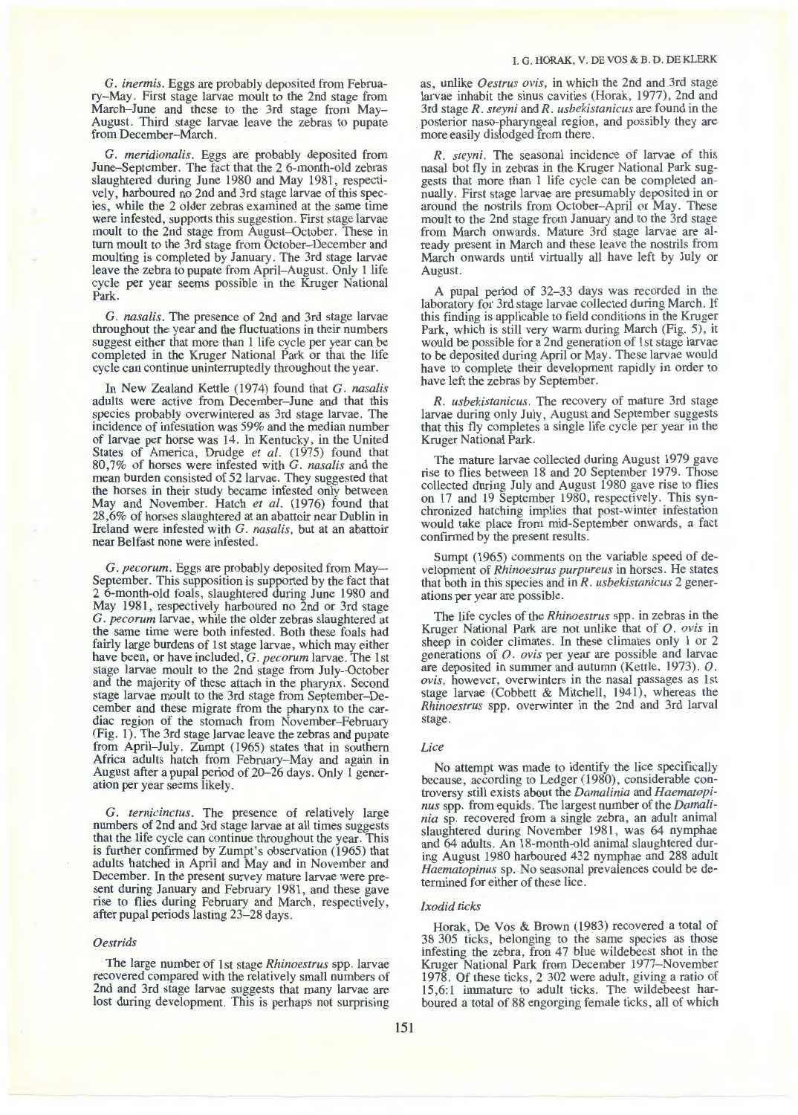G. *inermis.* Eggs are probably deposited from February-May. First stage larvae moult to the 2nd stage from March-June and these to the 3rd stage from May-August. Third stage larvae leave the zebras to pupate from December-March.

G. *meridionalis.* Eggs are probably deposited from June-September. The fact that the 2 6-month-old zebras slaughtered during June 1980 and May 1981, respectively, harboured no 2nd and 3rd stage larvae of this species, while the 2 older zebras examined at the same time were infested, supports this suggestion. First stage larvae moult to the 2nd stage from August-October. These in tum moult to the 3rd stage from October-December and moulting is completed by January. The 3rd stage larvae leave the zebra to pupate from April-August. Only 1 life cycle per year seems possible in the Kruger National Park.

G. *nasalis.* The presence of 2nd and 3rd stage larvae throughout the year and the fluctuations in their numbers suggest either that more than 1 life cycle per year can be completed in the Kruger National Park or that the life cycle can continue uninterruptedly throughout the year.

In New Zealand Kettle (1974) found that G. *nasalis*  adults were active from December-June and that this species probably overwintered as 3rd stage larvae. The incidence of infestation was 59% and the median number of larvae per horse was 14. In Kentucky, in the United States of America, Drudge et al. (1975) found that 80,7% of horses were infested with G. *nasalis* and the mean burden consisted of 52 larvae. They suggested that the horses in their study became infested only between May and November. Hatch *et al.* (1976) found that 28,6% of horses slaughtered at an abattoir near Dublin in Ireland were infested with G. *nasalis,* but at an abattoir near Belfast none were infested.

G. *pecorum.* Eggs are probably deposited from May-September. This supposition is supported by the fact that 2 6-month-old foals, slaughtered during June 1980 and May 1981, respectively harboured no 2nd or 3rd stage G. *pecorum* larvae, while the older zebras slaughtered at the same time were both infested. Both these foals had fairly large burdens of 1st stage larvae, which may either have been, or have included, G. *pecorum* larvae. The 1st stage larvae moult to the 2nd stage from July-October and the majority of these attach in the pharynx. Second stage larvae moult to the 3rd stage from September-December and these migrate from the pharynx to the cardiac region of the stomach from November-February (Fig. 1). The 3rd stage larvae leave the zebras and pupate from April-July. Zumpt (1965) states that in southern Africa adults hatch from February-May and again in August after a pupal period of 20–26 days. Only 1 generation per year seems likely.

G. *ternicinctus.* The presence of relatively large numbers of 2nd and 3rd stage larvae at all times suggests that the life cycle can continue throughout the year. This is further confirmed by Zumpt's observation (1965) that adults hatched in April and May and in November and December. In the present survey mature larvae were present during January and February 1981, and these gave rise to flies during February and March, respectively, after pupal periods lasting 23-28 days.

## *Oestrids*

The large number of 1st stage *Rhinoestrus* spp. larvae recovered compared with the relatively small numbers of 2nd and 3rd stage larvae suggests that many larvae are lost during development. This is perhaps not surprising as, unlike *Oestrus ovis,* in which the 2nd and 3rd stage larvae inhabit the sinus cavities (Horak, 1977), 2nd and 3rd stage *R. steyni* and *R. usbekistanicus* are found in the posterior naso-pharyngeal region, and possibly they are more easily dislodged from there.

*R. steyni.* The seasonal incidence of larvae of this nasal bot fly in zebras in the Kruger National Park suggests that more than 1 life cycle can be completed annually. First stage larvae are presumably deposited in or around the nostrils from October-April or May. These moult to the 2nd stage from January and to the 3rd stage from March onwards. Mature 3rd stage larvae are already present in March and these leave the nostrils from March onwards until virtually all have left by July or August.

A pupal period of 32-33 days was recorded in the laboratory for 3rd stage larvae collected during March. If this finding is applicable to field conditions in the Kruger Park, which is still very warm during March (Fig. 5), it would be possible for a 2nd generation of 1st stage larvae to be deposited during April or May. These larvae would have to complete their development rapidly in order to have left the zebras by September.

*R. usbekistanicus.* The recovery of mature 3rd stage larvae during only July, August and September suggests that this fly completes a single life cycle per year in the Kruger National Park.

The mature larvae collected during August 1979 gave rise to flies between 18 and 20 September 1979. Those collected during July and August 1980 gave rise to flies on 17 and 19 September 1980, respectively. This synchronized hatching implies that post-winter infestation would take place from mid-September onwards, a fact confirmed by the present results.

Sumpt (1965) comments on the variable speed of development of *Rhinoestrus purpureus* in horses. He states that both in this species and in *R. usbekistanicus* 2 generations per year are possible.

The life cycles of the *Rhinoestrus* spp. in zebras in the Kruger National Park are not unlike that of *0. ovis* in sheep in colder climates. In these climates only 1 or 2 generations of *0. ovis* per year are possible and larvae are deposited in summer and autumn (Kettle, 1973). *0. ovis,* however, overwinters in the nasal passages as 1st stage larvae (Cobbett & Mitchell, 1941), whereas the *Rhinoestrus* spp. overwinter in the 2nd and 3rd larval stage.

#### *Lice*

No attempt was made to identify the lice specifically because, according to Ledger (1980), considerable controversy still exists about the *Damalinia* and *Haematopinus* spp. from equids. The largest number of the *Damalinia* sp. recovered from a single zebra, an adult animal slaughtered during November 1981, was 64 nymphae and 64 adults. An 18-month-old animal slaughtered during August 1980 harboured 432 nymphae and 288 adult *Haematopinus* sp. No seasonal prevalences could be determined for either of these lice.

## *Ixodid ticks*

Horak, De Vos & Brown (1983) recovered a total of 38 305 ticks, belonging to the same species as those infesting the zebra, fron 47 blue wildebeest shot in the Kruger National Park from December 1977- November 1978. Of these ticks, 2 302 were adult, giving a ratio of 15,6:1 immature to adult ticks. The wildebeest harboured a total of 88 engorging female ticks, all of which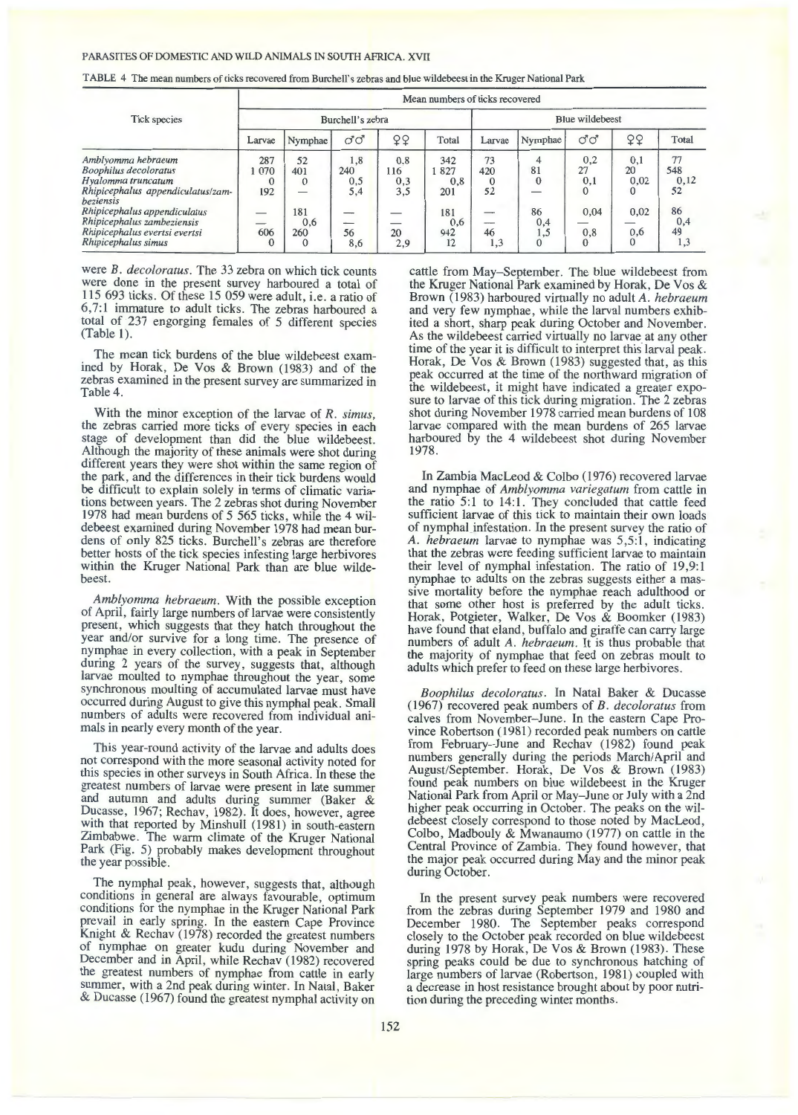TABLE 4 The mean numbers of ticks recovered from Burchell's zebras and blue wildebeest in the Kruger National Park

|                                                                                                                            |                        |                                                   |                          |                                             | Mean numbers of ticks recovered |                 |                          |                              |                             |                         |
|----------------------------------------------------------------------------------------------------------------------------|------------------------|---------------------------------------------------|--------------------------|---------------------------------------------|---------------------------------|-----------------|--------------------------|------------------------------|-----------------------------|-------------------------|
| <b>Tick species</b>                                                                                                        |                        |                                                   | Burchell's zebra         |                                             |                                 |                 |                          | <b>Blue wildebeest</b>       |                             |                         |
|                                                                                                                            | Larvae                 | Nymphae                                           | ರೆ ರೆ                    | QQ                                          | Total                           | Larvae          | Nymphae                  | ರೆ ರೆ                        | 99                          | Total                   |
| Amblyomma hebraeum<br><b>Boophilus</b> decoloratus<br>Hyalomma truncatum<br>Rhipicephalus appendiculatus/zam-<br>beziensis | 287<br>070<br>0<br>192 | 52<br>401<br>$\theta$<br>$\overline{\phantom{0}}$ | 1,8<br>240<br>0,5<br>5,4 | 0,8<br>116<br>0,3<br>3,5                    | 342<br>827<br>0,8<br>201        | 73<br>420<br>52 | 4<br>81<br>$\bf{0}$<br>_ | 0,2<br>27<br>0,1<br>$\Omega$ | 0,1<br>20<br>0,02<br>0      | 77<br>548<br>0,12<br>52 |
| Rhipicephalus appendiculatus<br>Rhipicephalus zambeziensis<br>Rhipicephalus evertsi evertsi<br>Rhipicephalus simus         | —<br>606<br>$\bf{0}$   | 181<br>0,6<br>260<br>$\mathbf{0}$                 | __<br>56<br>8,6          | $\overline{\phantom{a}}$<br>__<br>20<br>2,9 | 181<br>0,6<br>942<br>12         | 46<br>1,3       | 86<br>0,4<br>1,5         | 0.04<br>0,8<br>$\theta$      | 0,02<br>0,6<br>$\mathbf{0}$ | 86<br>0,4<br>49<br>1,3  |

were *B. decoloratus.* The 33 zebra on which tick counts were done in the present survey harboured a total of 115 693 ticks. Of these 15 059 were adult, i.e. a ratio of 6,7:1 immature to adult ticks. The zebras harboured a total of 237 engorging females of 5 different species (Table 1).

The mean tick burdens of the blue wildebeest examined by Horak, De Vos & Brown (1983) and of the zebras examined in the present survey are summarized in Table 4.

With the minor exception of the larvae of *R. simus,*  the zebras carried more ticks of every species in each stage of development than did the blue wildebeest. Although the majority of these animals were shot during different years they were shot within the same region of the park, and the differences in their tick burdens would be difficult to explain solely in terms of climatic variations between years. The 2 zebras shot during November 1978 had mean burdens of 5 565 ticks, while the 4 wildebeest examined during November 1978 had mean burdens of only 825 ticks. Burchell's zebras are therefore better hosts of the tick species infesting large herbivores within the Kruger National Park than are blue wildebeest.

*Amblyomma hebraeum.* With the possible exception of April, fairly large numbers of larvae were consistently present, which suggests that they hatch throughout the year and/or survive for a long time. The presence of nymphae in every collection, with a peak in September during 2 years of the survey, suggests that, although larvae moulted to nymphae throughout the year, some synchronous moulting of accumulated larvae must have occurred during August to give this nymphal peak. Small numbers of adults were recovered from individual animals in nearly every month of the year.

This year-round activity of the larvae and adults does not correspond with the more seasonal activity noted for this species in other surveys in South Africa. In these the greatest numbers of larvae were present in late summer and autumn and adults during summer (Baker & Ducasse, 1967; Rechav, 1982). It does, however, agree with that reported by Minshull (1981) in south-eastern Zimbabwe. The warm climate of the Kruger National Park (Fig. 5) probably makes development throughout the year possible.

The nymphal peak, however, suggests that, although conditions in general are always favourable, optimum conditions for the nymphae in the Kruger National Park prevail in early spring. In the eastern Cape Province Knight & Rechav (1978) recorded the greatest numbers of nymphae on greater kudu during November and December and in April, while Rechav (1982) recovered the greatest numbers of nymphae from cattle in early summer, with a 2nd peak during winter. In Natal, Baker & Ducasse (1967) found the greatest nymphal activity on cattle from May-September. The blue wildebeest from the Kruger National Park examined by Horak, De Vos & Brown (1983) harboured virtually no adult *A. hebraeum*  and very few nymphae, while the larval numbers exhibited a short, sharp peak during October and November. As the wildebeest carried virtually no larvae at any other time of the year it is difficult to interpret this larval peak. Horak, De Vos & Brown (1983) suggested that, as this peak occurred at the time of the northward migration of the wildebeest, it might have indicated a greater exposure to larvae of this tick during migration. The 2 zebras shot during November 1978 carried mean burdens of 108 larvae compared with the mean burdens of 265 larvae harboured by the 4 wildebeest shot during November 1978.

In Zambia MacLeod & Colbo (1976) recovered larvae and nymphae of *Amblyomma variegatum* from cattle in the ratio 5:1 to 14:1. They concluded that cattle feed sufficient larvae of this tick to maintain their own loads of nymphal infestation. In the present survey the ratio of A. *hebraeum* larvae to nymphae was 5,5:1, indicating that the zebras were feeding sufficient larvae to maintain their level of nymphal infestation. The ratio of 19,9:1 nymphae to adults on the zebras suggests either a massive mortality before the nymphae reach adulthood or that some other host is preferred by the adult ticks. Horak, Potgieter, Walker, De Vos & Boornker (1983) have found that eland, buffalo and giraffe can carry large numbers of adult *A. hebraeum.* It is thus probable that the majority of nymphae that feed on zebras moult to adults which prefer to feed on these large herbivores.

*Boophilus decoloratus.* In Natal Baker & Ducasse ( 1967) recovered peak numbers of *B. decoloratus* from calves from November-June. In the eastern Cape Province Robertson (1981) recorded peak numbers on cattle from February-June and Rechav (1982) found peak numbers generally during the periods March/April and August/September. Horak, De Vos & Brown (1983) found peak numbers on blue wildebeest in the Kruger National Park from April or May-June or July with a 2nd higher peak occurring in October. The peaks on the wildebeest closely correspond to those noted by MacLeod, Colbo, Madbouly & Mwanaumo (1977) on cattle in the Central Province of Zambia. They found however, that the major peak occurred during May and the minor peak during October.

In the present survey peak numbers were recovered from the zebras during September 1979 and 1980 and December 1980. The September peaks correspond closely to the October peak recorded on blue wildebeest during 1978 by Horak, De Vos & Brown (1983). These spring peaks could be due to synchronous hatching of large numbers of larvae (Robertson, 1981) coupled with a decrease in host resistance brought about by poor nutrition during the preceding winter months.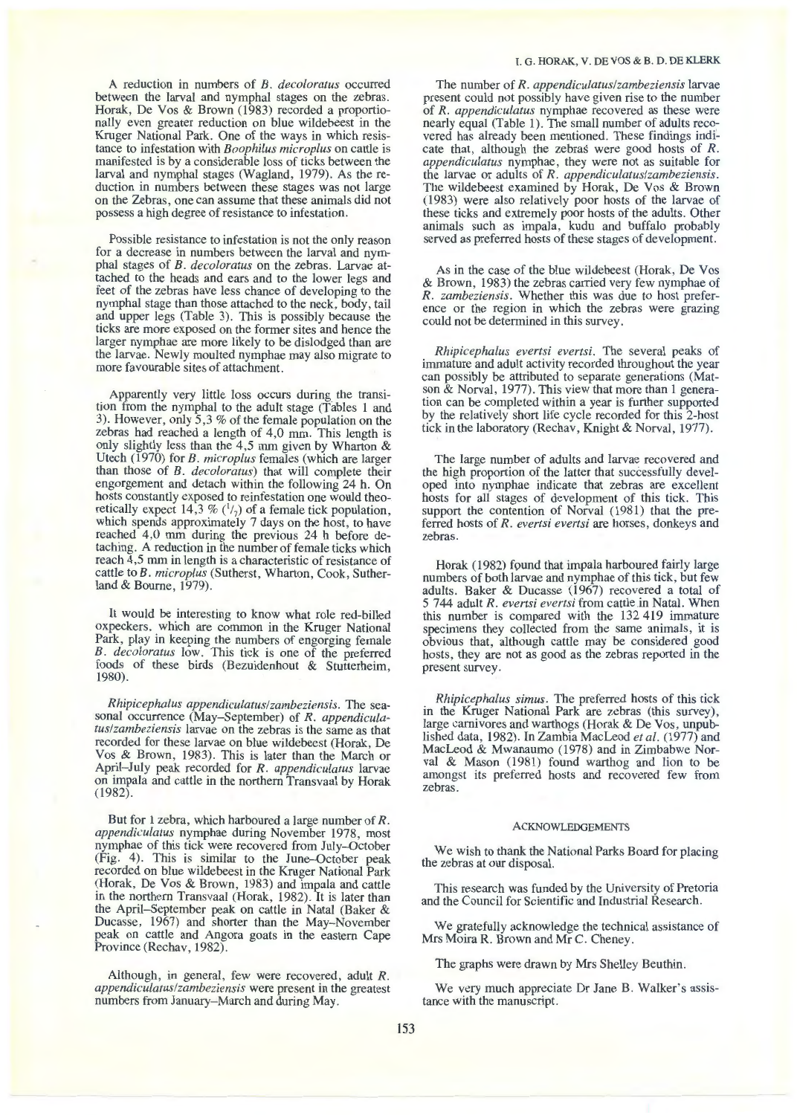A reduction in numbers of *B. decoloratus* occurred between the larval and nymphal stages on the zebras. Horak, De Vos & Brown (1983) recorded a proportionally even greater reduction on blue wildebeest in the Kruger National Park. One of the ways in which resistance to infestation with *Boophilus microplus* on cattle is manifested is by a considerable loss of ticks between the larval and nymphal stages (Wagland, 1979). As the reduction in numbers between these stages was not large on the Zebras, one can assume that these animals did not possess a high degree of resistance to infestation.

Possible resistance to infestation is not the only reason for a decrease in numbers between the larval and nymphal stages of *B. decoloratus* on the zebras. Larvae attached to the heads and ears and to the lower legs and feet of the zebras have less chance of developing to the nymphal stage than those attached to the neck, body, tail and upper legs (Table 3). This is possibly because the ticks are more exposed on the former sites and hence the larger nymphae are more likely to be dislodged than are the larvae. Newly moulted nymphae may also migrate to more favourable sites of attachment.

Apparently very little loss occurs during the transition from the nymphal to the adult stage (Tables 1 and 3). However, only 5,3% of the female population on the zebras had reached a length of 4,0 mm. This length is only slightly less than the 4,5 mm given by Wharton & Utech (1970) for *B. microplus* females (which are larger than those of *B. decoloratus)* that will complete their engorgement and detach within the following 24 h. On hosts constantly exposed to reinfestation one would theoretically expect 14,3 %  $(^{1}/_{7})$  of a female tick population, which spends approximately 7 days on the host, to have reached 4,0 mm during the previous 24 h before detaching. A reduction in the number of female ticks which reach 4,5 mm in length is a characteristic of resistance of cattle to *B. microplus* (Sutherst, Wharton, Cook, Sutherland & Bourne, 1979).

It would be interesting to know what role red-billed oxpeckers, which are common in the Kruger National Park, play in keeping the numbers of engorging female *B. decoloratus* low. This tick is one of the preferred foods of these birds (Bezuidenhout & Stutterheim, 1980).

*Rhipicephalus appendiculatuslzambeziensis.* The seasonal occurrence (May-September) of *R. appendiculatuslzambeziensis* larvae on the zebras is the same as that recorded for these larvae on blue wildebeest (Horak, De Vos & Brown, 1983). This is later than the March or April- July peak recorded for *R. appendiculatus* larvae on impala and cattle in the northern Transvaal by Horak (1982).

But for 1 zebra, which harboured a large number of R. appendiculatus nymphae during November 1978, most *a*ymphae of this tick were recovered from July-October (Fig. 4). This is similar to the June-October peak recorded on blue wildebeest in the Kruger National Park (Horak, De Vos & Brown, 1983) and impala and cattle in the northern Transvaal (Horak, 1982). It is later than the April-September peak on cattle in Natal (Baker & Ducasse, 1967) and shorter than the May-November peak on cattle and Angora goats in the eastern Cape Province (Rechav, 1982).

Although, in general, few were recovered, adult *R. appendiculatus/zambeziensis* were present in the greatest numbers from January-March and during May.

The number of *R. appendiculatuslzambeziensis* larvae present could not possibly have given rise to the number of *R. appendiculatus* nymphae recovered as these were nearly equal (Table 1). The small number of adults recovered has already been mentioned. These findings indicate that, although the zebras were good hosts of  $R$ . appendiculatus nymphae, they were not as suitable for the larvae or adults of *R. appendiculatus/zambeziensis.*  The wildebeest examined by Horak, De Vos & Brown ( 1983) were also relatively poor hosts of the larvae of these ticks and extremely poor hosts of the adults. Other animals such as impala, kudu and buffalo probably served as preferred hosts of these stages of development.

As in the case of the blue wildebeest (Horak, De Vos & Brown, 1983) the zebras carried very few nymphae of *R. zambeziensis.* Whether this was due to host preference or the region in which the zebras were grazing could not be determined in this survey.

*Rhipicephalus evertsi evertsi.* The several peaks of immature and adult activity recorded throughout the year can possibly be attributed to separate generations (Matson & Norval, 1977). This view that more than 1 generation can be completed within a year is further supported by the relatively short life cycle recorded for this 2-host tick in the laboratory (Rechav, Knight & Norval, 1977).

The large number of adults and larvae recovered and the high proportion of the latter that successfully developed into nymphae indicate that zebras are excellent hosts for all stages of development of this tick. This support the contention of Norval (1981) that the preferred hosts of *R. evertsi evertsi* are horses, donkeys and zebras.

Horak (1982) found that impala harboured fairly large numbers of both larvae and nymphae of this tick, but few adults. Baker & Ducasse (1967) recovered a total of 5 744 adult *R. evertsi evertsi* from cattle in Natal. When this number is compared with the 132 419 immature specimens they collected from the same animals, it is obvious that, although cattle may be considered good hosts, they are not as good as the zebras reported in the present survey.

*Rhipicephalus simus.* The preferred hosts of this tick in the Kruger National Park are zebras (this survey), large carnivores and warthogs (Horak & De Vos, unpublished data, 1982). In Zambia MacLeod *et al.* ( 1977) and MacLeod & Mwanaumo (1978) and in Zimbabwe Nor- val & Mason (1981) found warthog and lion to be amongst its preferred hosts and recovered few from zebras.

#### ACKNOWLEDGEMENTS

We wish to thank the National Parks Board for placing the zebras at our disposal.

This research was funded by the University of Pretoria and the Council for Scientific and Industrial Research.

We gratefully acknowledge the technical assistance of Mrs Moira R. Brown and Mr C. Cheney.

The graphs were drawn by Mrs Shelley Beuthin.

We very much appreciate Dr Jane B. Walker's assistance with the manuscript.